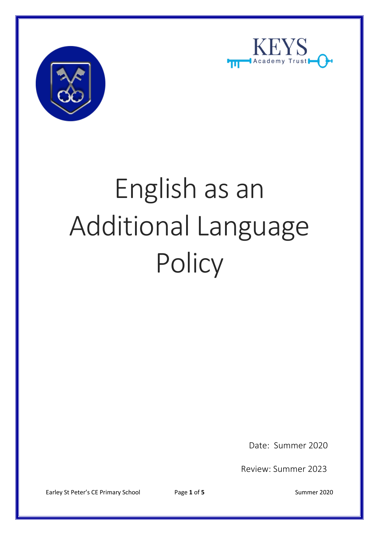



# English as an Additional Language **Policy**

Date: Summer 2020

Review: Summer 2023

Earley St Peter's CE Primary School Page 1 of 5 Summer 2020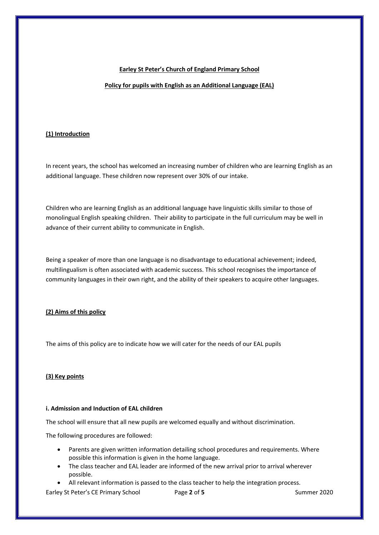## **Earley St Peter's Church of England Primary School**

# **Policy for pupils with English as an Additional Language (EAL)**

# **(1) Introduction**

In recent years, the school has welcomed an increasing number of children who are learning English as an additional language. These children now represent over 30% of our intake.

Children who are learning English as an additional language have linguistic skills similar to those of monolingual English speaking children. Their ability to participate in the full curriculum may be well in advance of their current ability to communicate in English.

Being a speaker of more than one language is no disadvantage to educational achievement; indeed, multilingualism is often associated with academic success. This school recognises the importance of community languages in their own right, and the ability of their speakers to acquire other languages.

# **(2) Aims of this policy**

The aims of this policy are to indicate how we will cater for the needs of our EAL pupils

# **(3) Key points**

# **i. Admission and Induction of EAL children**

The school will ensure that all new pupils are welcomed equally and without discrimination.

The following procedures are followed:

- Parents are given written information detailing school procedures and requirements. Where possible this information is given in the home language.
- The class teacher and EAL leader are informed of the new arrival prior to arrival wherever possible.
- All relevant information is passed to the class teacher to help the integration process.

Earley St Peter's CE Primary School Page 2 of 5 Summer 2020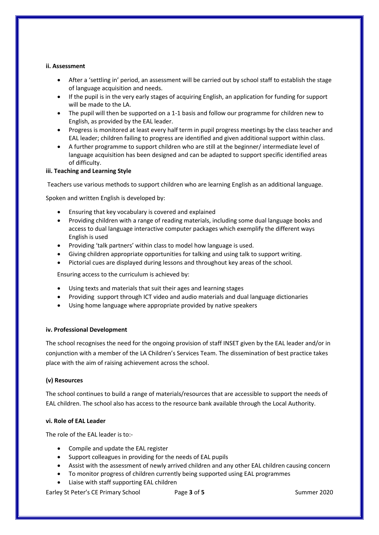### **ii. Assessment**

- After a 'settling in' period, an assessment will be carried out by school staff to establish the stage of language acquisition and needs.
- If the pupil is in the very early stages of acquiring English, an application for funding for support will be made to the LA.
- The pupil will then be supported on a 1-1 basis and follow our programme for children new to English, as provided by the EAL leader.
- Progress is monitored at least every half term in pupil progress meetings by the class teacher and EAL leader; children failing to progress are identified and given additional support within class.
- A further programme to support children who are still at the beginner/ intermediate level of language acquisition has been designed and can be adapted to support specific identified areas of difficulty.

### **iii. Teaching and Learning Style**

Teachers use various methods to support children who are learning English as an additional language.

Spoken and written English is developed by:

- Ensuring that key vocabulary is covered and explained
- Providing children with a range of reading materials, including some dual language books and access to dual language interactive computer packages which exemplify the different ways English is used
- Providing 'talk partners' within class to model how language is used.
- Giving children appropriate opportunities for talking and using talk to support writing.
- Pictorial cues are displayed during lessons and throughout key areas of the school.

Ensuring access to the curriculum is achieved by:

- Using texts and materials that suit their ages and learning stages
- Providing support through ICT video and audio materials and dual language dictionaries
- Using home language where appropriate provided by native speakers

# **iv. Professional Development**

The school recognises the need for the ongoing provision of staff INSET given by the EAL leader and/or in conjunction with a member of the LA Children's Services Team. The dissemination of best practice takes place with the aim of raising achievement across the school.

# **(v) Resources**

The school continues to build a range of materials/resources that are accessible to support the needs of EAL children. The school also has access to the resource bank available through the Local Authority.

### **vi. Role of EAL Leader**

The role of the EAL leader is to:-

- Compile and update the EAL register
- Support colleagues in providing for the needs of EAL pupils
- Assist with the assessment of newly arrived children and any other EAL children causing concern
- To monitor progress of children currently being supported using EAL programmes
- Liaise with staff supporting EAL children

Earley St Peter's CE Primary School Page **3** of **5** Summer 2020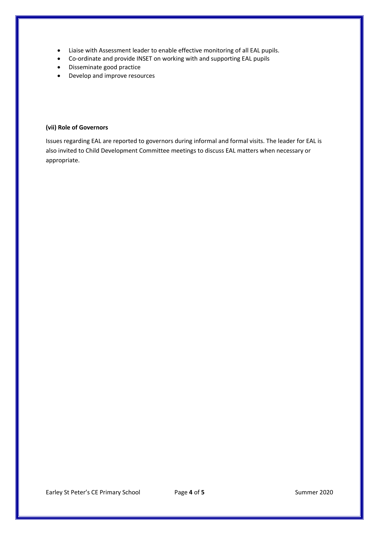- Liaise with Assessment leader to enable effective monitoring of all EAL pupils.
- Co-ordinate and provide INSET on working with and supporting EAL pupils
- Disseminate good practice
- Develop and improve resources

### **(vii) Role of Governors**

Issues regarding EAL are reported to governors during informal and formal visits. The leader for EAL is also invited to Child Development Committee meetings to discuss EAL matters when necessary or appropriate.